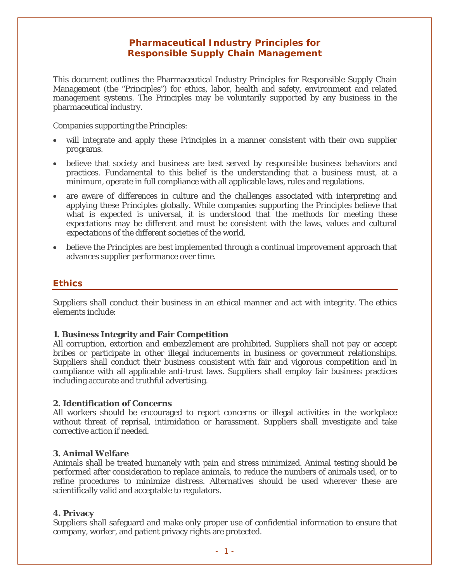# **Pharmaceutical Industry Principles for Responsible Supply Chain Management**

This document outlines the Pharmaceutical Industry Principles for Responsible Supply Chain Management (the "Principles") for ethics, labor, health and safety, environment and related management systems. The Principles may be voluntarily supported by any business in the pharmaceutical industry.

Companies supporting the Principles:

- will integrate and apply these Principles in a manner consistent with their own supplier programs.
- believe that society and business are best served by responsible business behaviors and practices. Fundamental to this belief is the understanding that a business must, at a minimum, operate in full compliance with all applicable laws, rules and regulations.
- are aware of differences in culture and the challenges associated with interpreting and applying these Principles globally. While companies supporting the Principles believe that what is expected is universal, it is understood that the methods for meeting these expectations may be different and must be consistent with the laws, values and cultural expectations of the different societies of the world.
- believe the Principles are best implemented through a continual improvement approach that advances supplier performance over time.

# **Ethics**

Suppliers shall conduct their business in an ethical manner and act with integrity. The ethics elements include:

#### **1. Business Integrity and Fair Competition**

All corruption, extortion and embezzlement are prohibited. Suppliers shall not pay or accept bribes or participate in other illegal inducements in business or government relationships. Suppliers shall conduct their business consistent with fair and vigorous competition and in compliance with all applicable anti-trust laws. Suppliers shall employ fair business practices including accurate and truthful advertising.

#### **2. Identification of Concerns**

All workers should be encouraged to report concerns or illegal activities in the workplace without threat of reprisal, intimidation or harassment. Suppliers shall investigate and take corrective action if needed.

#### **3. Animal Welfare**

Animals shall be treated humanely with pain and stress minimized. Animal testing should be performed after consideration to replace animals, to reduce the numbers of animals used, or to refine procedures to minimize distress. Alternatives should be used wherever these are scientifically valid and acceptable to regulators.

#### **4. Privacy**

Suppliers shall safeguard and make only proper use of confidential information to ensure that company, worker, and patient privacy rights are protected.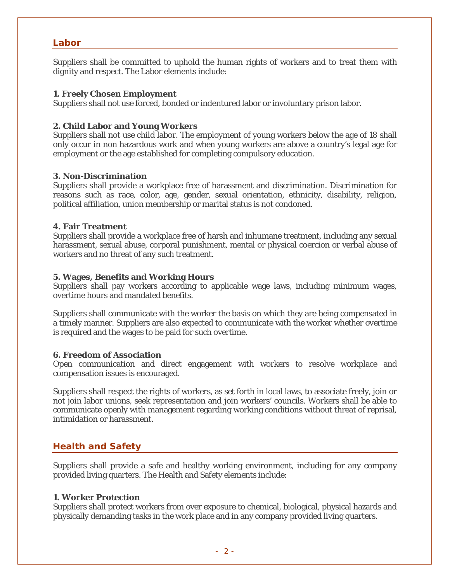# **Labor**

Suppliers shall be committed to uphold the human rights of workers and to treat them with dignity and respect. The Labor elements include:

### **1. Freely Chosen Employment**

Suppliers shall not use forced, bonded or indentured labor or involuntary prison labor.

### **2. Child Labor and Young Workers**

Suppliers shall not use child labor. The employment of young workers below the age of 18 shall only occur in non hazardous work and when young workers are above a country's legal age for employment or the age established for completing compulsory education.

#### **3. Non-Discrimination**

Suppliers shall provide a workplace free of harassment and discrimination. Discrimination for reasons such as race, color, age, gender, sexual orientation, ethnicity, disability, religion, political affiliation, union membership or marital status is not condoned.

#### **4. Fair Treatment**

Suppliers shall provide a workplace free of harsh and inhumane treatment, including any sexual harassment, sexual abuse, corporal punishment, mental or physical coercion or verbal abuse of workers and no threat of any such treatment.

# **5. Wages, Benefits and Working Hours**

Suppliers shall pay workers according to applicable wage laws, including minimum wages, overtime hours and mandated benefits.

Suppliers shall communicate with the worker the basis on which they are being compensated in a timely manner. Suppliers are also expected to communicate with the worker whether overtime is required and the wages to be paid for such overtime.

#### **6. Freedom of Association**

Open communication and direct engagement with workers to resolve workplace and compensation issues is encouraged.

Suppliers shall respect the rights of workers, as set forth in local laws, to associate freely, join or not join labor unions, seek representation and join workers' councils. Workers shall be able to communicate openly with management regarding working conditions without threat of reprisal, intimidation or harassment.

# **Health and Safety**

Suppliers shall provide a safe and healthy working environment, including for any company provided living quarters. The Health and Safety elements include:

#### **1. Worker Protection**

Suppliers shall protect workers from over exposure to chemical, biological, physical hazards and physically demanding tasks in the work place and in any company provided living quarters.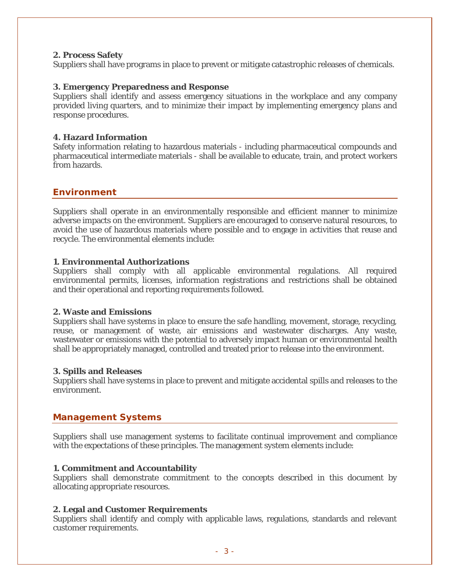### **2. Process Safety**

Suppliers shall have programs in place to prevent or mitigate catastrophic releases of chemicals.

# **3. Emergency Preparedness and Response**

Suppliers shall identify and assess emergency situations in the workplace and any company provided living quarters, and to minimize their impact by implementing emergency plans and response procedures.

### **4. Hazard Information**

Safety information relating to hazardous materials - including pharmaceutical compounds and pharmaceutical intermediate materials - shall be available to educate, train, and protect workers from hazards.

# **Environment**

Suppliers shall operate in an environmentally responsible and efficient manner to minimize adverse impacts on the environment. Suppliers are encouraged to conserve natural resources, to avoid the use of hazardous materials where possible and to engage in activities that reuse and recycle. The environmental elements include:

# **1. Environmental Authorizations**

Suppliers shall comply with all applicable environmental regulations. All required environmental permits, licenses, information registrations and restrictions shall be obtained and their operational and reporting requirements followed.

#### **2. Waste and Emissions**

Suppliers shall have systems in place to ensure the safe handling, movement, storage, recycling, reuse, or management of waste, air emissions and wastewater discharges. Any waste, wastewater or emissions with the potential to adversely impact human or environmental health shall be appropriately managed, controlled and treated prior to release into the environment.

#### **3. Spills and Releases**

Suppliers shall have systems in place to prevent and mitigate accidental spills and releases to the environment.

# **Management Systems**

Suppliers shall use management systems to facilitate continual improvement and compliance with the expectations of these principles. The management system elements include:

#### **1. Commitment and Accountability**

Suppliers shall demonstrate commitment to the concepts described in this document by allocating appropriate resources.

#### **2. Legal and Customer Requirements**

Suppliers shall identify and comply with applicable laws, regulations, standards and relevant customer requirements.